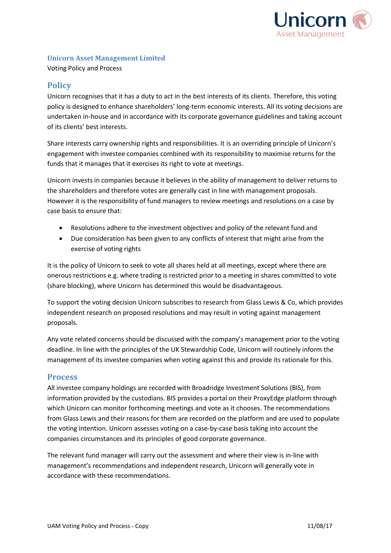

#### **Unicorn Asset Management Limited**

Voting Policy and Process

### **Policy**

Unicorn recognises that it has a duty to act in the best interests of its clients. Therefore, this voting policy is designed to enhance shareholders' long-term economic interests. All its voting decisions are undertaken in-house and in accordance with its corporate governance guidelines and taking account of its clients' best interests.

Share interests carry ownership rights and responsibilities. It is an overriding principle of Unicorn's engagement with investee companies combined with its responsibility to maximise returns for the funds that it manages that it exercises its right to vote at meetings.

Unicorn invests in companies because it believes in the ability of management to deliver returns to the shareholders and therefore votes are generally cast in line with management proposals. However it is the responsibility of fund managers to review meetings and resolutions on a case by case basis to ensure that:

- Resolutions adhere to the investment objectives and policy of the relevant fund and
- Due consideration has been given to any conflicts of interest that might arise from the exercise of voting rights

It is the policy of Unicorn to seek to vote all shares held at all meetings, except where there are onerous restrictions e.g. where trading is restricted prior to a meeting in shares committed to vote (share blocking), where Unicorn has determined this would be disadvantageous.

To support the voting decision Unicorn subscribes to research from Glass Lewis & Co, which provides independent research on proposed resolutions and may result in voting against management proposals.

Any vote related concerns should be discussed with the company's management prior to the voting deadline. In line with the principles of the UK Stewardship Code, Unicorn will routinely inform the management of its investee companies when voting against this and provide its rationale for this.

#### **Process**

All investee company holdings are recorded with Broadridge Investment Solutions (BIS), from information provided by the custodians. BIS provides a portal on their ProxyEdge platform through which Unicorn can monitor forthcoming meetings and vote as it chooses. The recommendations from Glass Lewis and their reasons for them are recorded on the platform and are used to populate the voting intention. Unicorn assesses voting on a case-by-case basis taking into account the companies circumstances and its principles of good corporate governance.

The relevant fund manager will carry out the assessment and where their view is in-line with management's recommendations and independent research, Unicorn will generally vote in accordance with these recommendations.